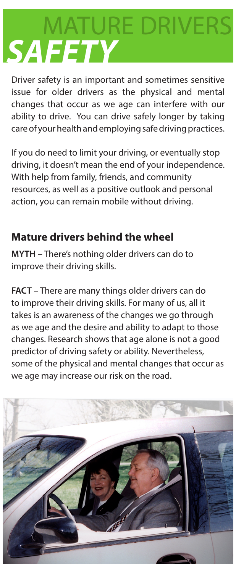## MATURE DRIVERS *SAFETY*

Driver safety is an important and sometimes sensitive issue for older drivers as the physical and mental changes that occur as we age can interfere with our ability to drive. You can drive safely longer by taking care of your health and employing safe driving practices.

If you do need to limit your driving, or eventually stop driving, it doesn't mean the end of your independence. With help from family, friends, and community resources, as well as a positive outlook and personal action, you can remain mobile without driving.

## **Mature drivers behind the wheel**

**MYTH** – There's nothing older drivers can do to improve their driving skills.

**FACT** – There are many things older drivers can do to improve their driving skills. For many of us, all it takes is an awareness of the changes we go through as we age and the desire and ability to adapt to those changes. Research shows that age alone is not a good predictor of driving safety or ability. Nevertheless, some of the physical and mental changes that occur as we age may increase our risk on the road.